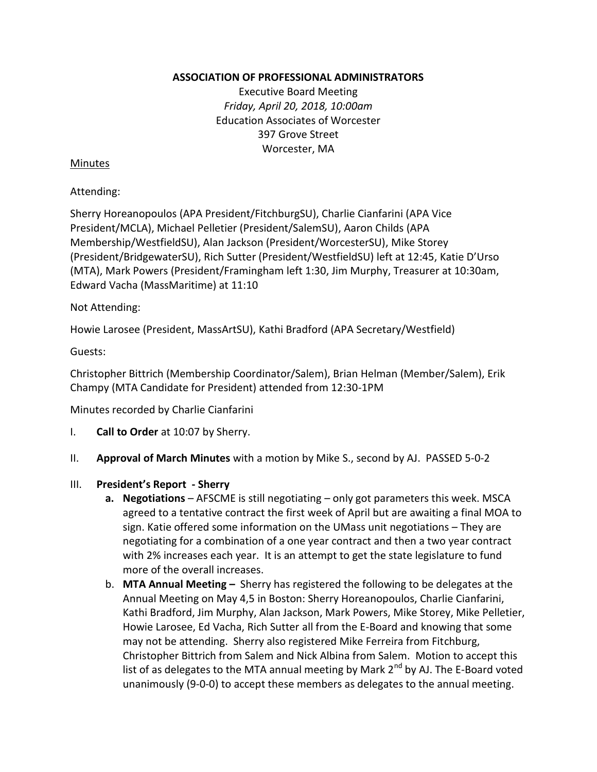### **ASSOCIATION OF PROFESSIONAL ADMINISTRATORS**

Executive Board Meeting *Friday, April 20, 2018, 10:00am* Education Associates of Worcester 397 Grove Street Worcester, MA

### Minutes

#### Attending:

Sherry Horeanopoulos (APA President/FitchburgSU), Charlie Cianfarini (APA Vice President/MCLA), Michael Pelletier (President/SalemSU), Aaron Childs (APA Membership/WestfieldSU), Alan Jackson (President/WorcesterSU), Mike Storey (President/BridgewaterSU), Rich Sutter (President/WestfieldSU) left at 12:45, Katie D'Urso (MTA), Mark Powers (President/Framingham left 1:30, Jim Murphy, Treasurer at 10:30am, Edward Vacha (MassMaritime) at 11:10

### Not Attending:

Howie Larosee (President, MassArtSU), Kathi Bradford (APA Secretary/Westfield)

Guests:

Christopher Bittrich (Membership Coordinator/Salem), Brian Helman (Member/Salem), Erik Champy (MTA Candidate for President) attended from 12:30-1PM

Minutes recorded by Charlie Cianfarini

- I. **Call to Order** at 10:07 by Sherry.
- II. **Approval of March Minutes** with a motion by Mike S., second by AJ. PASSED 5-0-2
- III. **President's Report - Sherry**
	- **a. Negotiations** AFSCME is still negotiating only got parameters this week. MSCA agreed to a tentative contract the first week of April but are awaiting a final MOA to sign. Katie offered some information on the UMass unit negotiations – They are negotiating for a combination of a one year contract and then a two year contract with 2% increases each year. It is an attempt to get the state legislature to fund more of the overall increases.
	- b. **MTA Annual Meeting –** Sherry has registered the following to be delegates at the Annual Meeting on May 4,5 in Boston: Sherry Horeanopoulos, Charlie Cianfarini, Kathi Bradford, Jim Murphy, Alan Jackson, Mark Powers, Mike Storey, Mike Pelletier, Howie Larosee, Ed Vacha, Rich Sutter all from the E-Board and knowing that some may not be attending. Sherry also registered Mike Ferreira from Fitchburg, Christopher Bittrich from Salem and Nick Albina from Salem. Motion to accept this list of as delegates to the MTA annual meeting by Mark  $2^{nd}$  by AJ. The E-Board voted unanimously (9-0-0) to accept these members as delegates to the annual meeting.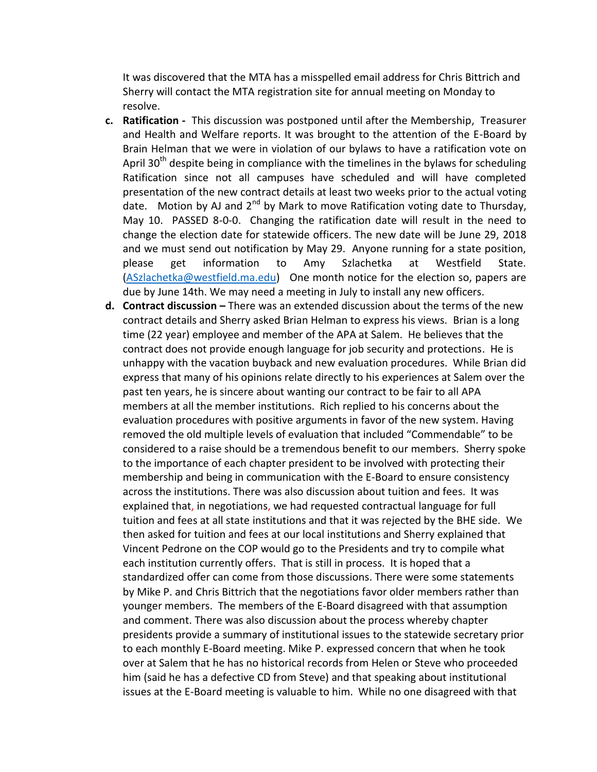It was discovered that the MTA has a misspelled email address for Chris Bittrich and Sherry will contact the MTA registration site for annual meeting on Monday to resolve.

- **c. Ratification -** This discussion was postponed until after the Membership, Treasurer and Health and Welfare reports. It was brought to the attention of the E-Board by Brain Helman that we were in violation of our bylaws to have a ratification vote on April 30<sup>th</sup> despite being in compliance with the timelines in the bylaws for scheduling Ratification since not all campuses have scheduled and will have completed presentation of the new contract details at least two weeks prior to the actual voting date. Motion by AJ and  $2^{nd}$  by Mark to move Ratification voting date to Thursday, May 10. PASSED 8-0-0. Changing the ratification date will result in the need to change the election date for statewide officers. The new date will be June 29, 2018 and we must send out notification by May 29. Anyone running for a state position, please get information to Amy Szlachetka at Westfield State. [\(ASzlachetka@westfield.ma.edu\)](mailto:ASzlachetka@westfield.ma.edu) One month notice for the election so, papers are due by June 14th. We may need a meeting in July to install any new officers.
- **d. Contract discussion –** There was an extended discussion about the terms of the new contract details and Sherry asked Brian Helman to express his views. Brian is a long time (22 year) employee and member of the APA at Salem. He believes that the contract does not provide enough language for job security and protections. He is unhappy with the vacation buyback and new evaluation procedures. While Brian did express that many of his opinions relate directly to his experiences at Salem over the past ten years, he is sincere about wanting our contract to be fair to all APA members at all the member institutions. Rich replied to his concerns about the evaluation procedures with positive arguments in favor of the new system. Having removed the old multiple levels of evaluation that included "Commendable" to be considered to a raise should be a tremendous benefit to our members. Sherry spoke to the importance of each chapter president to be involved with protecting their membership and being in communication with the E-Board to ensure consistency across the institutions. There was also discussion about tuition and fees. It was explained that, in negotiations, we had requested contractual language for full tuition and fees at all state institutions and that it was rejected by the BHE side. We then asked for tuition and fees at our local institutions and Sherry explained that Vincent Pedrone on the COP would go to the Presidents and try to compile what each institution currently offers. That is still in process. It is hoped that a standardized offer can come from those discussions. There were some statements by Mike P. and Chris Bittrich that the negotiations favor older members rather than younger members. The members of the E-Board disagreed with that assumption and comment. There was also discussion about the process whereby chapter presidents provide a summary of institutional issues to the statewide secretary prior to each monthly E-Board meeting. Mike P. expressed concern that when he took over at Salem that he has no historical records from Helen or Steve who proceeded him (said he has a defective CD from Steve) and that speaking about institutional issues at the E-Board meeting is valuable to him. While no one disagreed with that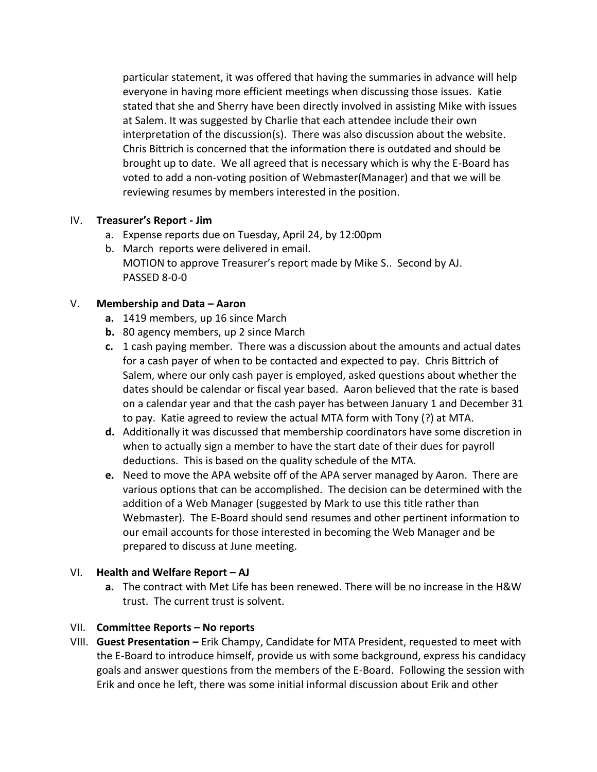particular statement, it was offered that having the summaries in advance will help everyone in having more efficient meetings when discussing those issues. Katie stated that she and Sherry have been directly involved in assisting Mike with issues at Salem. It was suggested by Charlie that each attendee include their own interpretation of the discussion(s). There was also discussion about the website. Chris Bittrich is concerned that the information there is outdated and should be brought up to date. We all agreed that is necessary which is why the E-Board has voted to add a non-voting position of Webmaster(Manager) and that we will be reviewing resumes by members interested in the position.

# IV. **Treasurer's Report - Jim**

- a. Expense reports due on Tuesday, April 24, by 12:00pm
- b. March reports were delivered in email. MOTION to approve Treasurer's report made by Mike S.. Second by AJ. PASSED 8-0-0

# V. **Membership and Data – Aaron**

- **a.** 1419 members, up 16 since March
- **b.** 80 agency members, up 2 since March
- **c.** 1 cash paying member. There was a discussion about the amounts and actual dates for a cash payer of when to be contacted and expected to pay. Chris Bittrich of Salem, where our only cash payer is employed, asked questions about whether the dates should be calendar or fiscal year based. Aaron believed that the rate is based on a calendar year and that the cash payer has between January 1 and December 31 to pay. Katie agreed to review the actual MTA form with Tony (?) at MTA.
- **d.** Additionally it was discussed that membership coordinators have some discretion in when to actually sign a member to have the start date of their dues for payroll deductions. This is based on the quality schedule of the MTA.
- **e.** Need to move the APA website off of the APA server managed by Aaron. There are various options that can be accomplished. The decision can be determined with the addition of a Web Manager (suggested by Mark to use this title rather than Webmaster). The E-Board should send resumes and other pertinent information to our email accounts for those interested in becoming the Web Manager and be prepared to discuss at June meeting.

# VI. **Health and Welfare Report – AJ**

**a.** The contract with Met Life has been renewed. There will be no increase in the H&W trust. The current trust is solvent.

# VII. **Committee Reports – No reports**

VIII. **Guest Presentation –** Erik Champy, Candidate for MTA President, requested to meet with the E-Board to introduce himself, provide us with some background, express his candidacy goals and answer questions from the members of the E-Board. Following the session with Erik and once he left, there was some initial informal discussion about Erik and other